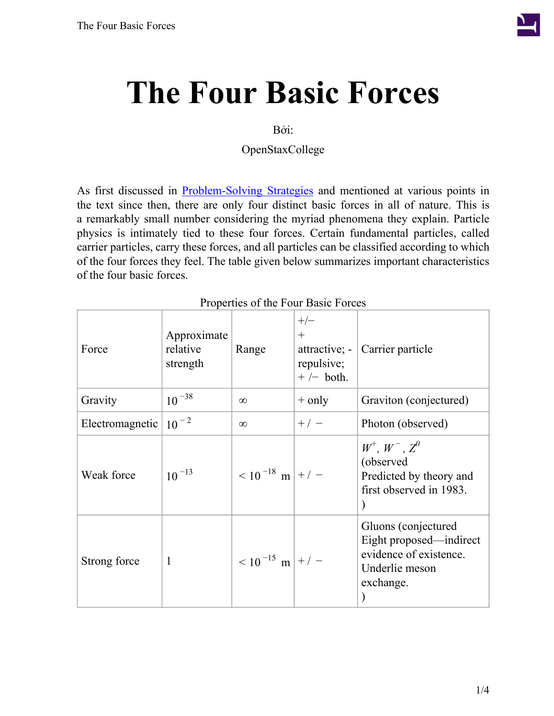

# **The Four Basic Forces**

#### Bởi:

OpenStaxCollege

As first discussed in [Problem-Solving](/m42076) Strategies and mentioned at various points in the text since then, there are only four distinct basic forces in all of nature. This is a remarkably small number considering the myriad phenomena they explain. Particle physics is intimately tied to these four forces. Certain fundamental particles, called carrier particles, carry these forces, and all particles can be classified according to which of the four forces they feel. The table given below summarizes important characteristics of the four basic forces.

<span id="page-0-0"></span>

| Force           | Approximate<br>relative<br>strength | Range                | $+/-$<br>$+$<br>$\pi$ attractive; -<br>repulsive;<br>$+/-$ both. | Carrier particle                                                                                        |
|-----------------|-------------------------------------|----------------------|------------------------------------------------------------------|---------------------------------------------------------------------------------------------------------|
| Gravity         | $10^{-38}$                          | $\infty$             | $+$ only                                                         | Graviton (conjectured)                                                                                  |
| Electromagnetic | $10^{-2}$                           | $\infty$             | $+/-$                                                            | Photon (observed)                                                                                       |
| Weak force      | $10^{-13}$                          | $< 10^{-18}$ m + / - |                                                                  | $W^+$ , $W^-$ , $Z^0$<br>(observed<br>Predicted by theory and<br>first observed in 1983.                |
| Strong force    | 1                                   | $< 10^{-15}$ m + / - |                                                                  | Gluons (conjectured<br>Eight proposed—indirect<br>evidence of existence.<br>Underlie meson<br>exchange. |

#### Properties of the Four Basic Forces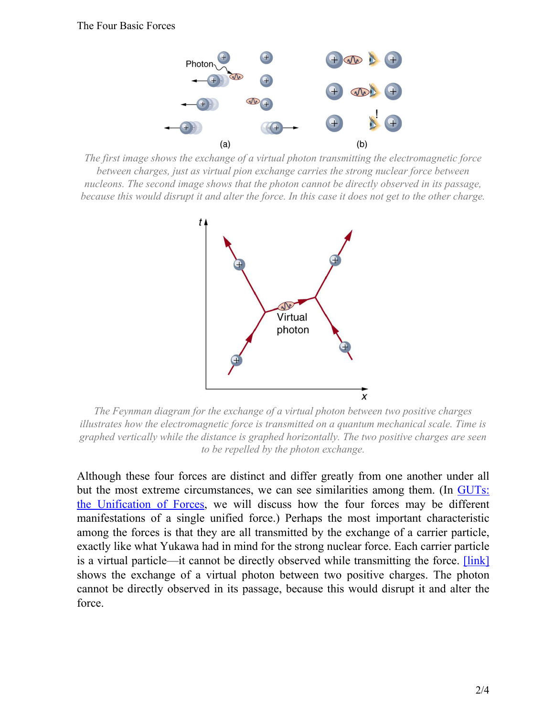

<span id="page-1-1"></span><span id="page-1-0"></span>*The first image shows the exchange of a virtual photon transmitting the electromagnetic force between charges, just as virtual pion exchange carries the strong nuclear force between nucleons. The second image shows that the photon cannot be directly observed in its passage, because this would disrupt it and alter the force. In this case it does not get to the other charge.*



*The Feynman diagram for the exchange of a virtual photon between two positive charges illustrates how the electromagnetic force is transmitted on a quantum mechanical scale. Time is graphed vertically while the distance is graphed horizontally. The two positive charges are seen to be repelled by the photon exchange.*

Although these four forces are distinct and differ greatly from one another under all but the most extreme circumstances, we can see similarities among them. (In [GUTs:](/m42680) the [Unification](/m42680) of Forces, we will discuss how the four forces may be different manifestations of a single unified force.) Perhaps the most important characteristic among the forces is that they are all transmitted by the exchange of a carrier particle, exactly like what Yukawa had in mind for the strong nuclear force. Each carrier particle is a virtual particle—it cannot be directly observed while transmitting the force. [\[link\]](#page-1-0) shows the exchange of a virtual photon between two positive charges. The photon cannot be directly observed in its passage, because this would disrupt it and alter the force.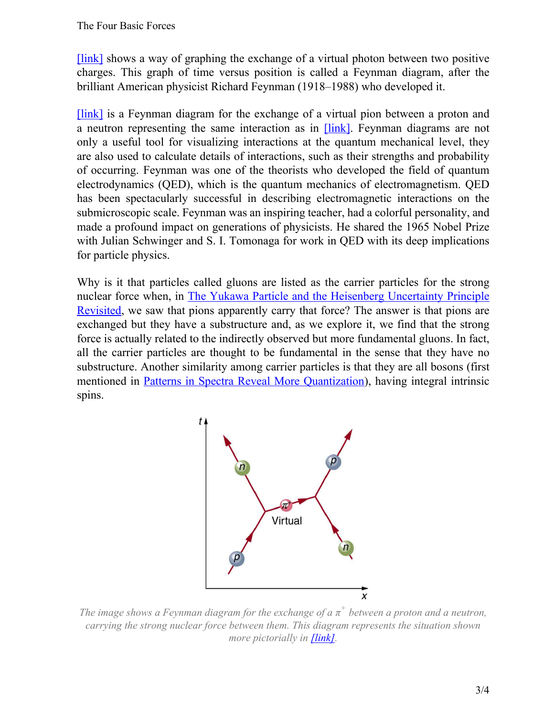[\[link\]](#page-1-1) shows a way of graphing the exchange of a virtual photon between two positive charges. This graph of time versus position is called a Feynman diagram, after the brilliant American physicist Richard Feynman (1918–1988) who developed it.

[\[link\]](#page-2-0) is a Feynman diagram for the exchange of a virtual pion between a proton and a neutron representing the same interaction as in [\[link\]](/m42669#import-auto-id1169737824808). Feynman diagrams are not only a useful tool for visualizing interactions at the quantum mechanical level, they are also used to calculate details of interactions, such as their strengths and probability of occurring. Feynman was one of the theorists who developed the field of quantum electrodynamics (QED), which is the quantum mechanics of electromagnetism. QED has been spectacularly successful in describing electromagnetic interactions on the submicroscopic scale. Feynman was an inspiring teacher, had a colorful personality, and made a profound impact on generations of physicists. He shared the 1965 Nobel Prize with Julian Schwinger and S. I. Tomonaga for work in QED with its deep implications for particle physics.

<span id="page-2-0"></span>Why is it that particles called gluons are listed as the carrier particles for the strong nuclear force when, in The Yukawa Particle and the Heisenberg [Uncertainty](/m42669) Principle [Revisited](/m42669), we saw that pions apparently carry that force? The answer is that pions are exchanged but they have a substructure and, as we explore it, we find that the strong force is actually related to the indirectly observed but more fundamental gluons. In fact, all the carrier particles are thought to be fundamental in the sense that they have no substructure. Another similarity among carrier particles is that they are all bosons (first mentioned in Patterns in Spectra Reveal More [Quantization\)](/m42609), having integral intrinsic spins.



*The image shows a Feynman diagram for the exchange of a π + between a proton and a neutron, carrying the strong nuclear force between them. This diagram represents the situation shown more pictorially in [\[link\]](#page-1-0).*